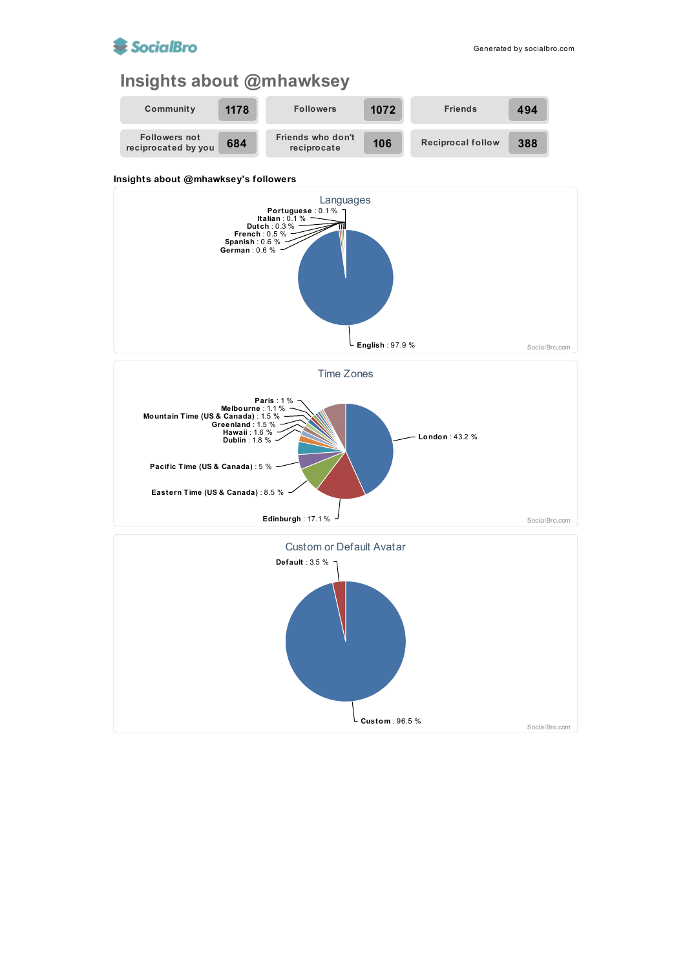

## **Insights about @mhawksey**



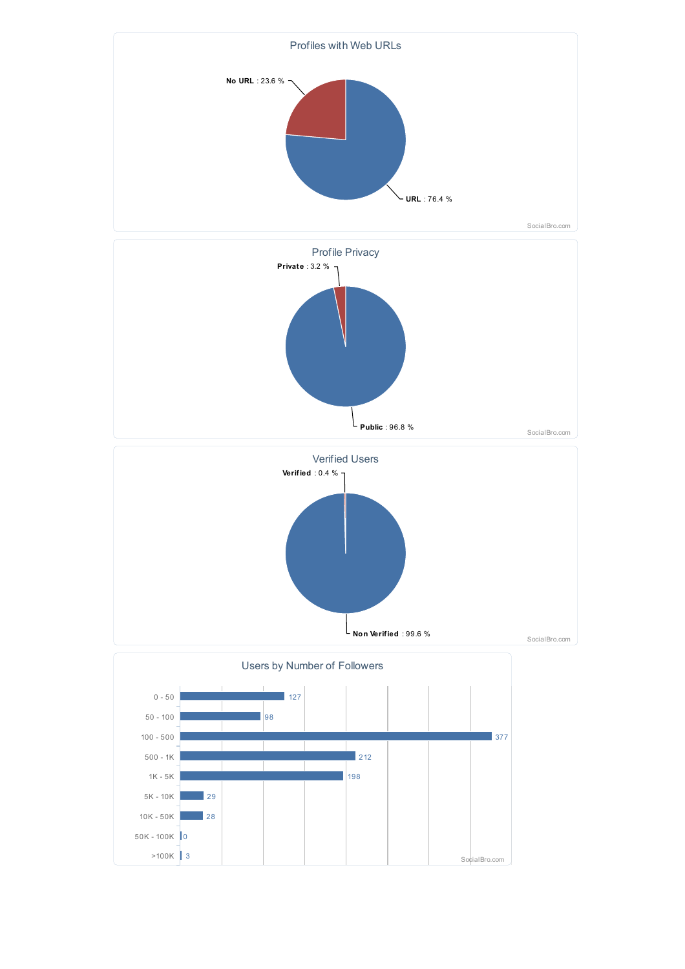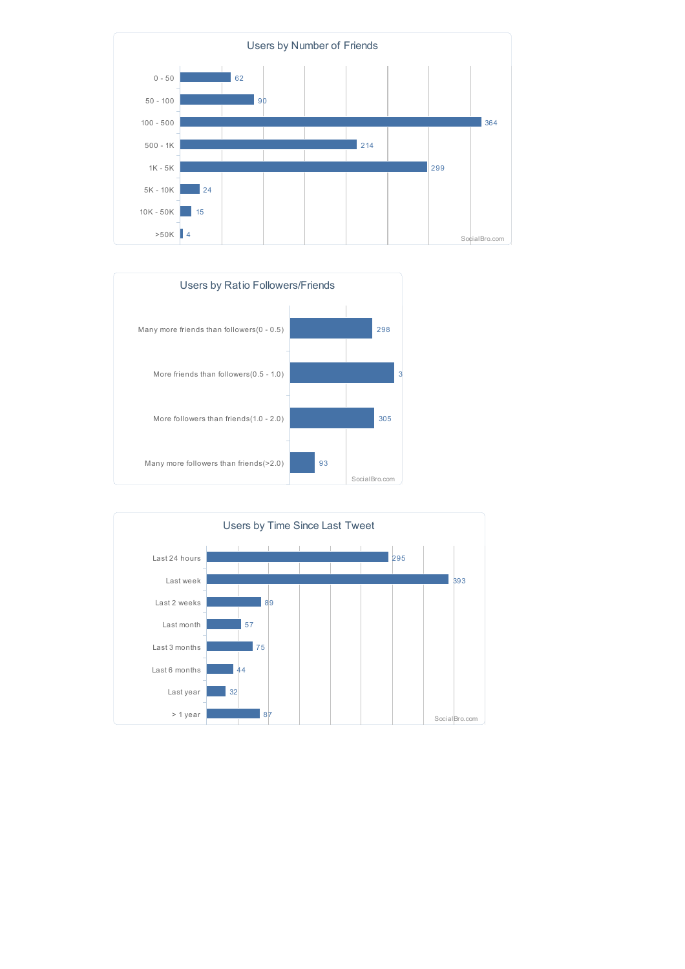